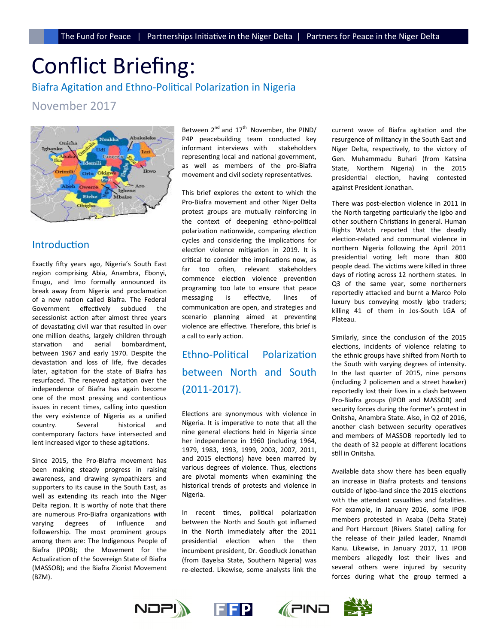# Conflict Briefing:

Biafra Agitation and Ethno-Political Polarization in Nigeria

November 2017



# Introduction

Exactly fifty years ago, Nigeria's South East region comprising Abia, Anambra, Ebonyi, Enugu, and Imo formally announced its break away from Nigeria and proclamation of a new nation called Biafra. The Federal Government effectively subdued the secessionist action after almost three years of devastating civil war that resulted in over one million deaths, largely children through starvation and aerial bombardment, between 1967 and early 1970. Despite the devastation and loss of life, five decades later, agitation for the state of Biafra has resurfaced. The renewed agitation over the independence of Biafra has again become one of the most pressing and contentious issues in recent times, calling into question the very existence of Nigeria as a unified country. Several historical and contemporary factors have intersected and lent increased vigor to these agitations.

Since 2015, the Pro-Biafra movement has been making steady progress in raising awareness, and drawing sympathizers and supporters to its cause in the South East, as well as extending its reach into the Niger Delta region. It is worthy of note that there are numerous Pro-Biafra organizations with varying degrees of influence and followership. The most prominent groups among them are: The Indigenous People of Biafra (IPOB); the Movement for the Actualization of the Sovereign State of Biafra (MASSOB); and the Biafra Zionist Movement (BZM).

Between  $2^{nd}$  and  $17^{th}$  November, the PIND/ P4P peacebuilding team conducted key informant interviews with stakeholders representing local and national government, as well as members of the pro-Biafra movement and civil society representatives.

This brief explores the extent to which the Pro-Biafra movement and other Niger Delta protest groups are mutually reinforcing in the context of deepening ethno-political polarization nationwide, comparing election cycles and considering the implications for election violence mitigation in 2019. It is critical to consider the implications now, as far too often, relevant stakeholders commence election violence prevention programing too late to ensure that peace messaging is effective, lines of communication are open, and strategies and scenario planning aimed at preventing violence are effective. Therefore, this brief is a call to early action.

Ethno-Political Polarization between North and South (2011-2017).

Elections are synonymous with violence in Nigeria. It is imperative to note that all the nine general elections held in Nigeria since her independence in 1960 (including 1964, 1979, 1983, 1993, 1999, 2003, 2007, 2011, and 2015 elections) have been marred by various degrees of violence. Thus, elections are pivotal moments when examining the historical trends of protests and violence in Nigeria.

In recent times, political polarization between the North and South got inflamed in the North immediately after the 2011 presidential election when the then incumbent president, Dr. Goodluck Jonathan (from Bayelsa State, Southern Nigeria) was re-elected. Likewise, some analysts link the

current wave of Biafra agitation and the resurgence of militancy in the South East and Niger Delta, respectively, to the victory of Gen. Muhammadu Buhari (from Katsina State, Northern Nigeria) in the 2015 presidential election, having contested against President Jonathan.

There was post-election violence in 2011 in the North targeting particularly the Igbo and other southern Christians in general. Human Rights Watch reported that the deadly election-related and communal violence in northern Nigeria following the April 2011 presidential voting left more than 800 people dead. The victims were killed in three days of rioting across 12 northern states. In Q3 of the same year, some northerners reportedly attacked and burnt a Marco Polo luxury bus conveying mostly Igbo traders; killing 41 of them in Jos-South LGA of Plateau.

Similarly, since the conclusion of the 2015 elections, incidents of violence relating to the ethnic groups have shifted from North to the South with varying degrees of intensity. In the last quarter of 2015, nine persons (including 2 policemen and a street hawker) reportedly lost their lives in a clash between Pro-Biafra groups (IPOB and MASSOB) and security forces during the former's protest in Onitsha, Anambra State. Also, in Q2 of 2016, another clash between security operatives and members of MASSOB reportedly led to the death of 32 people at different locations still in Onitsha.

Available data show there has been equally an increase in Biafra protests and tensions outside of Igbo-land since the 2015 elections with the attendant casualties and fatalities. For example, in January 2016, some IPOB members protested in Asaba (Delta State) and Port Harcourt (Rivers State) calling for the release of their jailed leader, Nnamdi Kanu. Likewise, in January 2017, 11 IPOB members allegedly lost their lives and several others were injured by security forces during what the group termed a



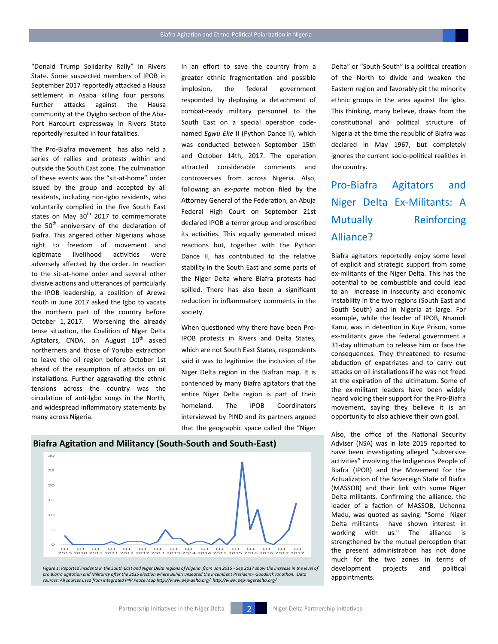"Donald Trump Solidarity Rally" in Rivers State. Some suspected members of IPOB in September 2017 reportedly attacked a Hausa settlement in Asaba killing four persons. Further attacks against the Hausa community at the Oyigbo section of the Aba-Port Harcourt expressway in Rivers State reportedly resulted in four fatalities.

The Pro-Biafra movement has also held a series of rallies and protests within and outside the South East zone. The culmination of these events was the "sit-at-home" order issued by the group and accepted by all residents, including non-Igbo residents, who voluntarily complied in the five South East states on May  $30<sup>th</sup>$  2017 to commemorate the  $50<sup>th</sup>$  anniversary of the declaration of Biafra. This angered other Nigerians whose right to freedom of movement and legitimate livelihood activities were adversely affected by the order. In reaction to the sit-at-home order and several other divisive actions and utterances of particularly the IPOB leadership, a coalition of Arewa Youth in June 2017 asked the Igbo to vacate the northern part of the country before October 1, 2017. Worsening the already tense situation, the Coalition of Niger Delta Agitators, CNDA, on August  $10^{th}$  asked northerners and those of Yoruba extraction to leave the oil region before October 1st ahead of the resumption of attacks on oil installations. Further aggravating the ethnic tensions across the country was the circulation of anti-Igbo songs in the North, and widespread inflammatory statements by many across Nigeria.

In an effort to save the country from a greater ethnic fragmentation and possible implosion, the federal government responded by deploying a detachment of combat-ready military personnel to the South East on a special operation codenamed *Egwu Eke* II (Python Dance II), which was conducted between September 15th and October 14th, 2017. The operation attracted considerable comments and controversies from across Nigeria. Also, following an *ex-parte* motion filed by the Attorney General of the Federation, an Abuja Federal High Court on September 21st declared IPOB a terror group and proscribed its activities. This equally generated mixed reactions but, together with the Python Dance II, has contributed to the relative stability in the South East and some parts of the Niger Delta where Biafra protests had spilled. There has also been a significant reduction in inflammatory comments in the society.

When questioned why there have been Pro-IPOB protests in Rivers and Delta States, which are not South East States, respondents said it was to legitimize the inclusion of the Niger Delta region in the Biafran map. It is contended by many Biafra agitators that the entire Niger Delta region is part of their homeland. The IPOB Coordinators interviewed by PIND and its partners argued that the geographic space called the "Niger

Delta" or "South-South" is a political creation of the North to divide and weaken the Eastern region and favorably pit the minority ethnic groups in the area against the Igbo. This thinking, many believe, draws from the constitutional and political structure of Nigeria at the time the republic of Biafra was declared in May 1967, but completely ignores the current socio-political realities in the country.

# Pro-Biafra Agitators and Niger Delta Ex-Militants: A Mutually Reinforcing Alliance?

Biafra agitators reportedly enjoy some level of explicit and strategic support from some ex-militants of the Niger Delta. This has the potential to be combustible and could lead to an increase in insecurity and economic instability in the two regions (South East and South South) and in Nigeria at large. For example, while the leader of IPOB, Nnamdi Kanu, was in detention in Kuje Prison, some ex-militants gave the federal government a 31-day ultimatum to release him or face the consequences. They threatened to resume abduction of expatriates and to carry out attacks on oil installations if he was not freed at the expiration of the ultimatum. Some of the ex-militant leaders have been widely heard voicing their support for the Pro-Biafra movement, saying they believe it is an opportunity to also achieve their own goal.

Also, the office of the National Security Adviser (NSA) was in late 2015 reported to have been investigating alleged "subversive activities" involving the Indigenous People of Biafra (IPOB) and the Movement for the Actualization of the Sovereign State of Biafra (MASSOB) and their link with some Niger Delta militants. Confirming the alliance, the leader of a faction of MASSOB, Uchenna Madu, was quoted as saying: "Some Niger [Delta militants](http://www.ibtimes.co.uk/nigerias-oil-war-who-are-niger-delta-militants-1520580) have shown interest in working with us." The alliance is strengthened by the mutual perception that the present administration has not done much for the two zones in terms of development projects and political appointments.





Figure 1: Reported incidents in the South East and Niger Delta regions of Nigeria from Jan 2015 - Sep 2017 show the increase in the level of *pro Biarra agitation and Militancy after the 2015 election where Buhari unseated the incumbent President– Goodluck Jonathan. Data sources: All sources used from integrated P4P Peace Map http://www.p4p-delta.org/ http://www.p4p-nigerdelta.org/*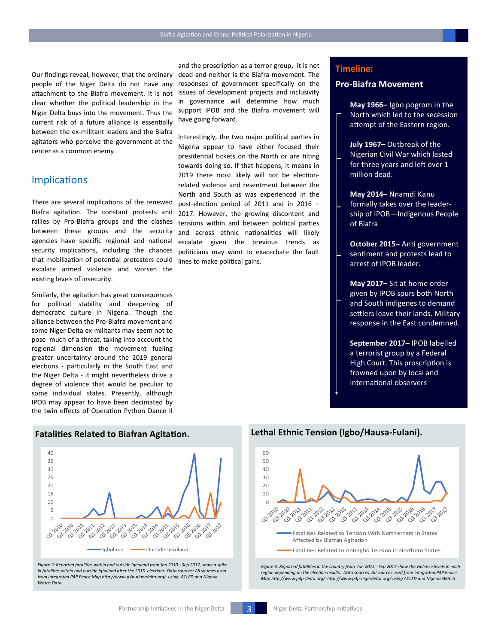Our findings reveal, however, that the ordinary people of the Niger Delta do not have any attachment to the Biafra movement. It is not clear whether the political leadership in the Niger Delta buys into the movement. Thus the current risk of a future alliance is essentially between the ex-militant leaders and the Biafra agitators who perceive the government at the center as a common enemy.

### **Implications**

There are several implications of the renewed Biafra agitation. The constant protests and rallies by Pro-Biafra groups and the clashes between these groups and the security agencies have specific regional and national security implications, including the chances that mobilization of potential protesters could escalate armed violence and worsen the existing levels of insecurity.

Similarly, the agitation has great consequences for political stability and deepening of democratic culture in Nigeria. Though the alliance between the Pro-Biafra movement and some Niger Delta ex-militants may seem not to pose much of a threat, taking into account the regional dimension the movement fueling greater uncertainty around the 2019 general elections - particularly in the South East and the Niger Delta - it might nevertheless drive a degree of violence that would be peculiar to some individual states. Presently, although IPOB may appear to have been decimated by the twin effects of Operation Python Dance II

40 35 30 25 20 15 10 5 0-220-0 03-2017 Igboland Outside-Igboland

*Figure 2: Reported fatalities within and outside Igboland from Jan 2010 - Sep 2017, show a spike in fatalities within and outside Igboland after the 2015 elections. Data sources: All sources used from integrated P4P Peace Map http://www.p4p-nigerdelta.org/ using ACLED and Nigeria Watch Data*

and the proscription as a terror group**,** it is not dead and neither is the Biafra movement. The responses of government specifically on the issues of development projects and inclusivity in governance will determine how much support IPOB and the Biafra movement will have going forward.

Interestingly, the two major political parties in Nigeria appear to have either focused their presidential tickets on the North or are tilting towards doing so. If that happens, it means in 2019 there most likely will not be electionrelated violence and resentment between the North and South as was experienced in the post-election period of 2011 and in 2016 – 2017. However, the growing discontent and tensions within and between political parties and across ethnic nationalities will likely escalate given the previous trends as politicians may want to exacerbate the fault lines to make political gains.

#### **Timeline:**

#### **Pro-Biafra Movement**

**May 1966–** Igbo pogrom in the North which led to the secession attempt of the Eastern region.

**July 1967–** Outbreak of the Nigerian Civil War which lasted for three years and left over 1 million dead.

**May 2014–** Nnamdi Kanu formally takes over the leadership of IPOB—Indigenous People of Biafra

**October 2015–** Anti government sentiment and protests lead to arrest of IPOB leader.

**May 2017–** Sit at home order given by IPOB spurs both North and South indigenes to demand settlers leave their lands. Military response in the East condemned.

**September 2017–** IPOB labelled a terrorist group by a Federal High Court. This proscription is frowned upon by local and international observers

# **Fatalities Related to Biafran Agitation. Lethal Ethnic Tension (Igbo/Hausa-Fulani).**



*Figure 3: Reported fatalities in the country from Jan 2015 - Sep 2017 show the violence levels in each region depending on the election results. Data sources: All sources used from integrated P4P Peace Map http://www.p4p-delta.org/ http://www.p4p-nigerdelta.org/ using ACLED and Nigeria Watch*